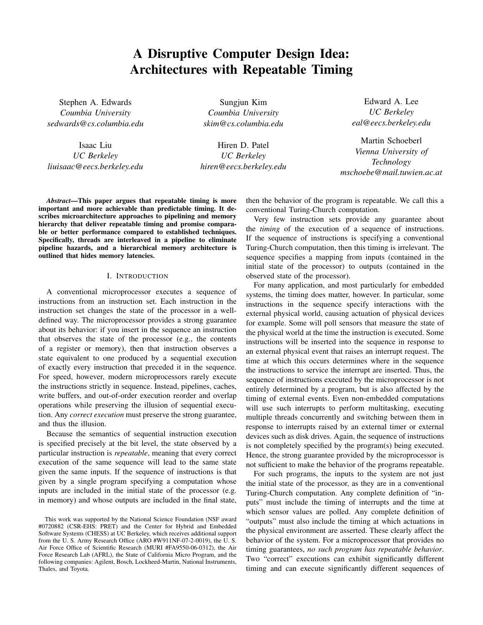# A Disruptive Computer Design Idea: Architectures with Repeatable Timing

Stephen A. Edwards *Coumbia University sedwards@cs.columbia.edu*

Isaac Liu *UC Berkeley liuisaac@eecs.berkeley.edu*

Sungjun Kim *Coumbia University skim@cs.columbia.edu*

Hiren D. Patel *UC Berkeley hiren@eecs.berkeley.edu*

Edward A. Lee *UC Berkeley eal@eecs.berkeley.edu*

Martin Schoeberl *Vienna University of Technology mschoebe@mail.tuwien.ac.at*

*Abstract*—This paper argues that repeatable timing is more important and more achievable than predictable timing. It describes microarchitecture approaches to pipelining and memory hierarchy that deliver repeatable timing and promise comparable or better performance compared to established techniques. Specifically, threads are interleaved in a pipeline to eliminate pipeline hazards, and a hierarchical memory architecture is outlined that hides memory latencies.

## I. INTRODUCTION

A conventional microprocessor executes a sequence of instructions from an instruction set. Each instruction in the instruction set changes the state of the processor in a welldefined way. The microprocessor provides a strong guarantee about its behavior: if you insert in the sequence an instruction that observes the state of the processor (e.g., the contents of a register or memory), then that instruction observes a state equivalent to one produced by a sequential execution of exactly every instruction that preceded it in the sequence. For speed, however, modern microprocessors rarely execute the instructions strictly in sequence. Instead, pipelines, caches, write buffers, and out-of-order execution reorder and overlap operations while preserving the illusion of sequential execution. Any *correct execution* must preserve the strong guarantee, and thus the illusion.

Because the semantics of sequential instruction execution is specified precisely at the bit level, the state observed by a particular instruction is *repeatable*, meaning that every correct execution of the same sequence will lead to the same state given the same inputs. If the sequence of instructions is that given by a single program specifying a computation whose inputs are included in the initial state of the processor (e.g. in memory) and whose outputs are included in the final state, then the behavior of the program is repeatable. We call this a conventional Turing-Church computation.

Very few instruction sets provide any guarantee about the *timing* of the execution of a sequence of instructions. If the sequence of instructions is specifying a conventional Turing-Church computation, then this timing is irrelevant. The sequence specifies a mapping from inputs (contained in the initial state of the processor) to outputs (contained in the observed state of the processor).

For many application, and most particularly for embedded systems, the timing does matter, however. In particular, some instructions in the sequence specify interactions with the external physical world, causing actuation of physical devices for example. Some will poll sensors that measure the state of the physical world at the time the instruction is executed. Some instructions will be inserted into the sequence in response to an external physical event that raises an interrupt request. The time at which this occurs determines where in the sequence the instructions to service the interrupt are inserted. Thus, the sequence of instructions executed by the microprocessor is not entirely determined by a program, but is also affected by the timing of external events. Even non-embedded computations will use such interrupts to perform multitasking, executing multiple threads concurrently and switching between them in response to interrupts raised by an external timer or external devices such as disk drives. Again, the sequence of instructions is not completely specified by the program(s) being executed. Hence, the strong guarantee provided by the microprocessor is not sufficient to make the behavior of the programs repeatable.

For such programs, the inputs to the system are not just the initial state of the processor, as they are in a conventional Turing-Church computation. Any complete definition of "inputs" must include the timing of interrupts and the time at which sensor values are polled. Any complete definition of "outputs" must also include the timing at which actuations in the physical environment are asserted. These clearly affect the behavior of the system. For a microprocessor that provides no timing guarantees, *no such program has repeatable behavior*. Two "correct" executions can exhibit significantly different timing and can execute significantly different sequences of

This work was supported by the National Science Foundation (NSF award #0720882 (CSR-EHS: PRET) and the Center for Hybrid and Embedded Software Systems (CHESS) at UC Berkeley, which receives additional support from the U. S. Army Research Office (ARO #W911NF-07-2-0019), the U. S. Air Force Office of Scientific Research (MURI #FA9550-06-0312), the Air Force Research Lab (AFRL), the State of California Micro Program, and the following companies: Agilent, Bosch, Lockheed-Martin, National Instruments, Thales, and Toyota.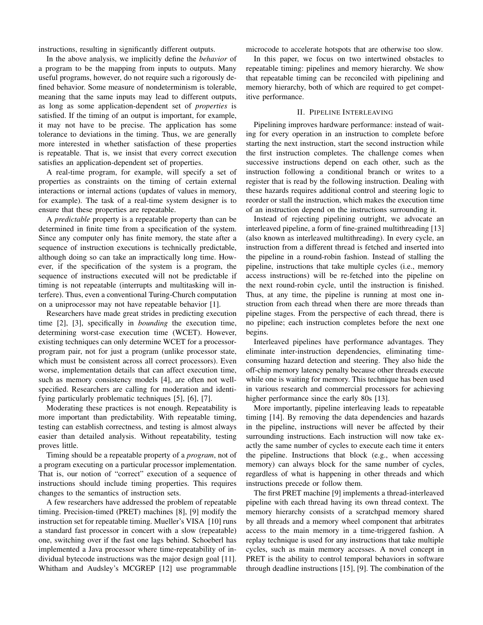instructions, resulting in significantly different outputs.

In the above analysis, we implicitly define the *behavior* of a program to be the mapping from inputs to outputs. Many useful programs, however, do not require such a rigorously defined behavior. Some measure of nondeterminism is tolerable, meaning that the same inputs may lead to different outputs, as long as some application-dependent set of *properties* is satisfied. If the timing of an output is important, for example, it may not have to be precise. The application has some tolerance to deviations in the timing. Thus, we are generally more interested in whether satisfaction of these properties is repeatable. That is, we insist that every correct execution satisfies an application-dependent set of properties.

A real-time program, for example, will specify a set of properties as constraints on the timing of certain external interactions or internal actions (updates of values in memory, for example). The task of a real-time system designer is to ensure that these properties are repeatable.

A *predictable* property is a repeatable property than can be determined in finite time from a specification of the system. Since any computer only has finite memory, the state after a sequence of instruction executions is technically predictable, although doing so can take an impractically long time. However, if the specification of the system is a program, the sequence of instructions executed will not be predictable if timing is not repeatable (interrupts and multitasking will interfere). Thus, even a conventional Turing-Church computation on a uniprocessor may not have repeatable behavior [1].

Researchers have made great strides in predicting execution time [2], [3], specifically in *bounding* the execution time, determining worst-case execution time (WCET). However, existing techniques can only determine WCET for a processorprogram pair, not for just a program (unlike processor state, which must be consistent across all correct processors). Even worse, implementation details that can affect execution time, such as memory consistency models [4], are often not wellspecified. Researchers are calling for moderation and identifying particularly problematic techniques [5], [6], [7].

Moderating these practices is not enough. Repeatability is more important than predictability. With repeatable timing, testing can establish correctness, and testing is almost always easier than detailed analysis. Without repeatability, testing proves little.

Timing should be a repeatable property of a *program*, not of a program executing on a particular processor implementation. That is, our notion of "correct" execution of a sequence of instructions should include timing properties. This requires changes to the semantics of instruction sets.

A few researchers have addressed the problem of repeatable timing. Precision-timed (PRET) machines [8], [9] modify the instruction set for repeatable timing. Mueller's VISA [10] runs a standard fast processor in concert with a slow (repeatable) one, switching over if the fast one lags behind. Schoeberl has implemented a Java processor where time-repeatability of individual bytecode instructions was the major design goal [11]. Whitham and Audsley's MCGREP [12] use programmable microcode to accelerate hotspots that are otherwise too slow.

In this paper, we focus on two intertwined obstacles to repeatable timing: pipelines and memory hierarchy. We show that repeatable timing can be reconciled with pipelining and memory hierarchy, both of which are required to get competitive performance.

## II. PIPELINE INTERLEAVING

Pipelining improves hardware performance: instead of waiting for every operation in an instruction to complete before starting the next instruction, start the second instruction while the first instruction completes. The challenge comes when successive instructions depend on each other, such as the instruction following a conditional branch or writes to a register that is read by the following instruction. Dealing with these hazards requires additional control and steering logic to reorder or stall the instruction, which makes the execution time of an instruction depend on the instructions surrounding it.

Instead of rejecting pipelining outright, we advocate an interleaved pipeline, a form of fine-grained multithreading [13] (also known as interleaved multithreading). In every cycle, an instruction from a different thread is fetched and inserted into the pipeline in a round-robin fashion. Instead of stalling the pipeline, instructions that take multiple cycles (i.e., memory access instructions) will be re-fetched into the pipeline on the next round-robin cycle, until the instruction is finished. Thus, at any time, the pipeline is running at most one instruction from each thread when there are more threads than pipeline stages. From the perspective of each thread, there is no pipeline; each instruction completes before the next one begins.

Interleaved pipelines have performance advantages. They eliminate inter-instruction dependencies, eliminating timeconsuming hazard detection and steering. They also hide the off-chip memory latency penalty because other threads execute while one is waiting for memory. This technique has been used in various research and commercial processors for achieving higher performance since the early 80s [13].

More importantly, pipeline interleaving leads to repeatable timing [14]. By removing the data dependencies and hazards in the pipeline, instructions will never be affected by their surrounding instructions. Each instruction will now take exactly the same number of cycles to execute each time it enters the pipeline. Instructions that block (e.g., when accessing memory) can always block for the same number of cycles, regardless of what is happening in other threads and which instructions precede or follow them.

The first PRET machine [9] implements a thread-interleaved pipeline with each thread having its own thread context. The memory hierarchy consists of a scratchpad memory shared by all threads and a memory wheel component that arbitrates access to the main memory in a time-triggered fashion. A replay technique is used for any instructions that take multiple cycles, such as main memory accesses. A novel concept in PRET is the ability to control temporal behaviors in software through deadline instructions [15], [9]. The combination of the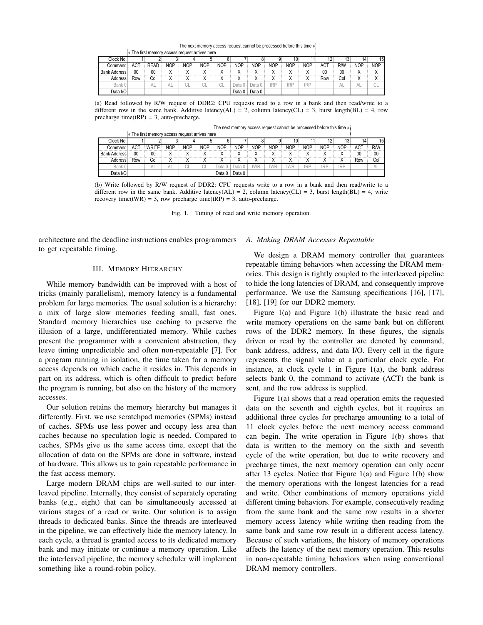The next memory access request cannot be processed before this time »

|                      |            | . The first memory access request arrives here |            |            |            |            |                      |            |            |                 |            |            |     |                 |            |
|----------------------|------------|------------------------------------------------|------------|------------|------------|------------|----------------------|------------|------------|-----------------|------------|------------|-----|-----------------|------------|
| Clock No.            |            |                                                |            |            |            |            |                      |            |            | 10 <sup>1</sup> | 11         |            |     | 14 <sup>1</sup> | 15         |
| Command              | <b>ACT</b> | <b>READ</b>                                    | <b>NOP</b> | <b>NOP</b> | <b>NOP</b> | <b>NOP</b> | <b>NOP</b>           | <b>NOP</b> | <b>NOP</b> | <b>NOP</b>      | <b>NOP</b> | <b>ACT</b> | R/W | <b>NOP</b>      | <b>NOP</b> |
| <b>Bank Address</b>  | 00         | 00                                             |            |            |            |            |                      |            |            |                 |            | 00         | 00  |                 |            |
| Address <sup>1</sup> | Row        | Col                                            |            |            | ∧          |            |                      | ↗          | ∧          | ⋏               |            | Row        | Col | ∧               |            |
| Bank ()              |            |                                                |            |            |            |            |                      |            | tRP        | tRP             | tRP        |            | AL  |                 |            |
| Data I/O             |            |                                                |            |            |            |            | ว <sub>ิ</sub> ata 0 | Data 0     |            |                 |            |            |     |                 |            |

(a) Read followed by R/W request of DDR2: CPU requests read to a row in a bank and then read/write to a different row in the same bank. Additive latency(AL) = 2, column latency(CL) = 3, burst length(BL) = 4, row precharge time(tRP) = 3, auto-precharge.

The next memory access request cannot be processed before this time »

| The first memory access request arrives here |            |               |            |            |            |            |               |            |            |            |            |            |            |            |     |  |  |
|----------------------------------------------|------------|---------------|------------|------------|------------|------------|---------------|------------|------------|------------|------------|------------|------------|------------|-----|--|--|
| Clock No.                                    |            |               |            |            |            |            |               |            |            | 10         |            |            | IJ         | 14         | 15  |  |  |
| Commandl                                     | <b>ACT</b> | <b>WRITE:</b> | <b>NOP</b> | <b>NOP</b> | <b>NOP</b> | <b>NOP</b> | <b>NOP</b>    | <b>NOP</b> | <b>NOP</b> | <b>NOP</b> | <b>NOP</b> | <b>NOP</b> | <b>NOP</b> | <b>ACT</b> | R/W |  |  |
| <b>Bank Address</b>                          | 00         | 00            |            |            |            |            |               |            |            |            |            |            |            | 00         | 00  |  |  |
| Address                                      | Row        | Col           |            | ∧          |            | ⋏          |               | ∧          | ∧          | ∧          | ∧          |            |            | Row        | Col |  |  |
| Bank                                         |            | AL            |            | $\sim$     |            | )ata       | )ata          |            | tWR        | tWR        | tRF        | +DD        | tRP        |            | AL  |  |  |
| Data I/O <b>I</b>                            |            |               |            |            |            |            | Data 0 Data 0 |            |            |            |            |            |            |            |     |  |  |

(b) Write followed by R/W request of DDR2: CPU requests write to a row in a bank and then read/write to a different row in the same bank. Additive latency(AL) = 2, column latency(CL) = 3, burst length(BL) = 4, write recovery time(tWR) = 3, row precharge time(tRP) = 3, auto-precharge.

Fig. 1. Timing of read and write memory operation.

architecture and the deadline instructions enables programmers to get repeatable timing.

#### III. MEMORY HIERARCHY

While memory bandwidth can be improved with a host of tricks (mainly parallelism), memory latency is a fundamental problem for large memories. The usual solution is a hierarchy: a mix of large slow memories feeding small, fast ones. Standard memory hierarchies use caching to preserve the illusion of a large, undifferentiated memory. While caches present the programmer with a convenient abstraction, they leave timing unpredictable and often non-repeatable [7]. For a program running in isolation, the time taken for a memory access depends on which cache it resides in. This depends in part on its address, which is often difficult to predict before the program is running, but also on the history of the memory accesses.

Our solution retains the memory hierarchy but manages it differently. First, we use scratchpad memories (SPMs) instead of caches. SPMs use less power and occupy less area than caches because no speculation logic is needed. Compared to caches, SPMs give us the same access time, except that the allocation of data on the SPMs are done in software, instead of hardware. This allows us to gain repeatable performance in the fast access memory.

Large modern DRAM chips are well-suited to our interleaved pipeline. Internally, they consist of separately operating banks (e.g., eight) that can be simultaneously accessed at various stages of a read or write. Our solution is to assign threads to dedicated banks. Since the threads are interleaved in the pipeline, we can effectively hide the memory latency. In each cycle, a thread is granted access to its dedicated memory bank and may initiate or continue a memory operation. Like the interleaved pipeline, the memory scheduler will implement something like a round-robin policy.

#### *A. Making DRAM Accesses Repeatable*

We design a DRAM memory controller that guarantees repeatable timing behaviors when accessing the DRAM memories. This design is tightly coupled to the interleaved pipeline to hide the long latencies of DRAM, and consequently improve performance. We use the Samsung specifications [16], [17], [18], [19] for our DDR2 memory.

Figure 1(a) and Figure 1(b) illustrate the basic read and write memory operations on the same bank but on different rows of the DDR2 memory. In these figures, the signals driven or read by the controller are denoted by command, bank address, address, and data I/O. Every cell in the figure represents the signal value at a particular clock cycle. For instance, at clock cycle 1 in Figure 1(a), the bank address selects bank 0, the command to activate (ACT) the bank is sent, and the row address is supplied.

Figure 1(a) shows that a read operation emits the requested data on the seventh and eighth cycles, but it requires an additional three cycles for precharge amounting to a total of 11 clock cycles before the next memory access command can begin. The write operation in Figure 1(b) shows that data is written to the memory on the sixth and seventh cycle of the write operation, but due to write recovery and precharge times, the next memory operation can only occur after 13 cycles. Notice that Figure 1(a) and Figure 1(b) show the memory operations with the longest latencies for a read and write. Other combinations of memory operations yield different timing behaviors. For example, consecutively reading from the same bank and the same row results in a shorter memory access latency while writing then reading from the same bank and same row result in a different access latency. Because of such variations, the history of memory operations affects the latency of the next memory operation. This results in non-repeatable timing behaviors when using conventional DRAM memory controllers.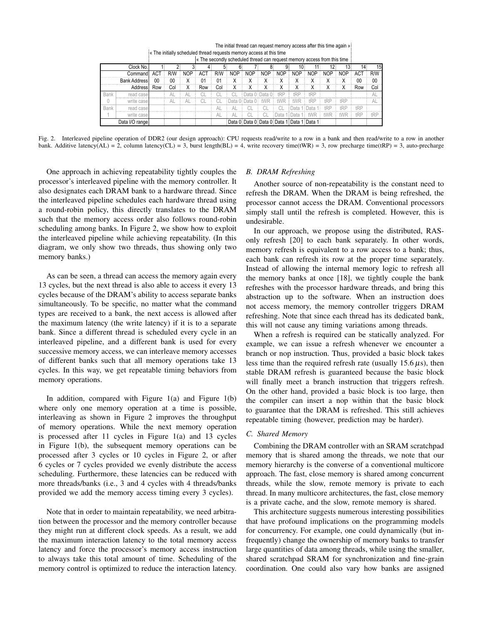| The initial thread can request memory access after this time again »<br>. The initially scheduled thread requests memory access at this time<br>is The secondly scheduled thread can request memory access from this time |                     |     |     |            |     |     |            |                                           |            |            |                       |            |            |                 |            |     |
|---------------------------------------------------------------------------------------------------------------------------------------------------------------------------------------------------------------------------|---------------------|-----|-----|------------|-----|-----|------------|-------------------------------------------|------------|------------|-----------------------|------------|------------|-----------------|------------|-----|
|                                                                                                                                                                                                                           | Clock No.           |     |     |            |     |     |            |                                           |            |            | 10                    | 11⊹        | 12         | 13 <sup>1</sup> | 14         | 15  |
|                                                                                                                                                                                                                           | Command             |     | R/W | <b>NOP</b> | ACT | R/W | <b>NOP</b> | <b>NOP</b>                                | <b>NOP</b> | <b>NOP</b> | <b>NOP</b>            | <b>NOP</b> | <b>NOP</b> | <b>NOP</b>      | <b>ACT</b> | R/W |
|                                                                                                                                                                                                                           | <b>Bank Address</b> | 00  | 00  |            | 01  | 01  |            |                                           |            |            |                       |            |            |                 | 00         | 00  |
|                                                                                                                                                                                                                           | Address             | Row | Col | х          | Row | Col | х          |                                           |            | х          | x                     | х          | х          | х               | Row        | Col |
| <b>Bank</b>                                                                                                                                                                                                               | read case           |     |     |            |     |     |            | )ata                                      | )ata       |            | <b>tRF</b>            | <b>tRP</b> |            |                 |            | AI  |
|                                                                                                                                                                                                                           | write case          |     | Al  | ΑL         |     |     |            | : Data 0: Data 0: tWR :                   |            | tWR :      | tWR                   | tRP        | tRP        | tRP             |            | Al  |
| Bank                                                                                                                                                                                                                      | read case           |     |     |            |     | ΑI  |            |                                           |            |            | Data                  | )ata       | ŀRP        | tRP             | tRP        |     |
|                                                                                                                                                                                                                           | write case          |     |     |            |     | AL  |            |                                           |            |            | Data 1: Data 1:   tWR |            | tWR        | tWR             | tRF        | tRF |
|                                                                                                                                                                                                                           | Data I/O rangel     |     |     |            |     |     |            | Data 0 Data 0 Data 0 Data 1 Data 1 Data 1 |            |            |                       |            |            |                 |            |     |

Fig. 2. Interleaved pipeline operation of DDR2 (our design approach): CPU requests read/write to a row in a bank and then read/write to a row in another bank. Additive latency(AL) = 2, column latency(CL) = 3, burst length(BL) = 4, write recovery time(tWR) = 3, row precharge time(tRP) = 3, auto-precharge

One approach in achieving repeatability tightly couples the processor's interleaved pipeline with the memory controller. It also designates each DRAM bank to a hardware thread. Since the interleaved pipeline schedules each hardware thread using a round-robin policy, this directly translates to the DRAM such that the memory access order also follows round-robin scheduling among banks. In Figure 2, we show how to exploit the interleaved pipeline while achieving repeatability. (In this diagram, we only show two threads, thus showing only two memory banks.)

As can be seen, a thread can access the memory again every 13 cycles, but the next thread is also able to access it every 13 cycles because of the DRAM's ability to access separate banks simultaneously. To be specific, no matter what the command types are received to a bank, the next access is allowed after the maximum latency (the write latency) if it is to a separate bank. Since a different thread is scheduled every cycle in an interleaved pipeline, and a different bank is used for every successive memory access, we can interleave memory accesses of different banks such that all memory operations take 13 cycles. In this way, we get repeatable timing behaviors from memory operations.

In addition, compared with Figure  $1(a)$  and Figure  $1(b)$ where only one memory operation at a time is possible, interleaving as shown in Figure 2 improves the throughput of memory operations. While the next memory operation is processed after 11 cycles in Figure 1(a) and 13 cycles in Figure 1(b), the subsequent memory operations can be processed after 3 cycles or 10 cycles in Figure 2, or after 6 cycles or 7 cycles provided we evenly distribute the access scheduling. Furthermore, these latencies can be reduced with more threads/banks (i.e., 3 and 4 cycles with 4 threads/banks provided we add the memory access timing every 3 cycles).

Note that in order to maintain repeatability, we need arbitration between the processor and the memory controller because they might run at different clock speeds. As a result, we add the maximum interaction latency to the total memory access latency and force the processor's memory access instruction to always take this total amount of time. Scheduling of the memory control is optimized to reduce the interaction latency.

#### *B. DRAM Refreshing*

Another source of non-repeatability is the constant need to refresh the DRAM. When the DRAM is being refreshed, the processor cannot access the DRAM. Conventional processors simply stall until the refresh is completed. However, this is undesirable.

In our approach, we propose using the distributed, RASonly refresh [20] to each bank separately. In other words, memory refresh is equivalent to a row access to a bank; thus, each bank can refresh its row at the proper time separately. Instead of allowing the internal memory logic to refresh all the memory banks at once [18], we tightly couple the bank refreshes with the processor hardware threads, and bring this abstraction up to the software. When an instruction does not access memory, the memory controller triggers DRAM refreshing. Note that since each thread has its dedicated bank, this will not cause any timing variations among threads.

When a refresh is required can be statically analyzed. For example, we can issue a refresh whenever we encounter a branch or nop instruction. Thus, provided a basic block takes less time than the required refresh rate (usually  $15.6 \,\mu s$ ), then stable DRAM refresh is guaranteed because the basic block will finally meet a branch instruction that triggers refresh. On the other hand, provided a basic block is too large, then the compiler can insert a nop within that the basic block to guarantee that the DRAM is refreshed. This still achieves repeatable timing (however, prediction may be harder).

### *C. Shared Memory*

Combining the DRAM controller with an SRAM scratchpad memory that is shared among the threads, we note that our memory hierarchy is the converse of a conventional multicore approach. The fast, close memory is shared among concurrent threads, while the slow, remote memory is private to each thread. In many multicore architectures, the fast, close memory is a private cache, and the slow, remote memory is shared.

This architecture suggests numerous interesting possibilities that have profound implications on the programming models for concurrency. For example, one could dynamically (but infrequently) change the ownership of memory banks to transfer large quantities of data among threads, while using the smaller, shared scratchpad SRAM for synchronization and fine-grain coordination. One could also vary how banks are assigned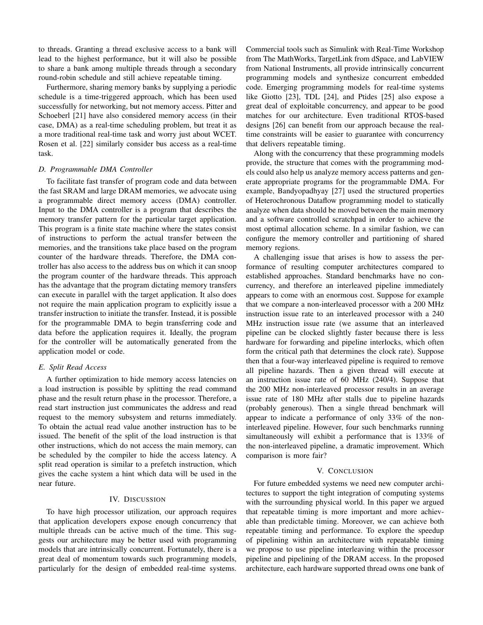to threads. Granting a thread exclusive access to a bank will lead to the highest performance, but it will also be possible to share a bank among multiple threads through a secondary round-robin schedule and still achieve repeatable timing.

Furthermore, sharing memory banks by supplying a periodic schedule is a time-triggered approach, which has been used successfully for networking, but not memory access. Pitter and Schoeberl [21] have also considered memory access (in their case, DMA) as a real-time scheduling problem, but treat it as a more traditional real-time task and worry just about WCET. Rosen et al. [22] similarly consider bus access as a real-time task.

## *D. Programmable DMA Controller*

To facilitate fast transfer of program code and data between the fast SRAM and large DRAM memories, we advocate using a programmable direct memory access (DMA) controller. Input to the DMA controller is a program that describes the memory transfer pattern for the particular target application. This program is a finite state machine where the states consist of instructions to perform the actual transfer between the memories, and the transitions take place based on the program counter of the hardware threads. Therefore, the DMA controller has also access to the address bus on which it can snoop the program counter of the hardware threads. This approach has the advantage that the program dictating memory transfers can execute in parallel with the target application. It also does not require the main application program to explicitly issue a transfer instruction to initiate the transfer. Instead, it is possible for the programmable DMA to begin transferring code and data before the application requires it. Ideally, the program for the controller will be automatically generated from the application model or code.

#### *E. Split Read Access*

A further optimization to hide memory access latencies on a load instruction is possible by splitting the read command phase and the result return phase in the processor. Therefore, a read start instruction just communicates the address and read request to the memory subsystem and returns immediately. To obtain the actual read value another instruction has to be issued. The benefit of the split of the load instruction is that other instructions, which do not access the main memory, can be scheduled by the compiler to hide the access latency. A split read operation is similar to a prefetch instruction, which gives the cache system a hint which data will be used in the near future.

## IV. DISCUSSION

To have high processor utilization, our approach requires that application developers expose enough concurrency that multiple threads can be active much of the time. This suggests our architecture may be better used with programming models that are intrinsically concurrent. Fortunately, there is a great deal of momentum towards such programming models, particularly for the design of embedded real-time systems. Commercial tools such as Simulink with Real-Time Workshop from The MathWorks, TargetLink from dSpace, and LabVIEW from National Instruments, all provide intrinsically concurrent programming models and synthesize concurrent embedded code. Emerging programming models for real-time systems like Giotto [23], TDL [24], and Ptides [25] also expose a great deal of exploitable concurrency, and appear to be good matches for our architecture. Even traditional RTOS-based designs [26] can benefit from our approach because the realtime constraints will be easier to guarantee with concurrency that delivers repeatable timing.

Along with the concurrency that these programming models provide, the structure that comes with the programming models could also help us analyze memory access patterns and generate appropriate programs for the programmable DMA. For example, Bandyopadhyay [27] used the structured properties of Heterochronous Dataflow programming model to statically analyze when data should be moved between the main memory and a software controlled scratchpad in order to achieve the most optimal allocation scheme. In a similar fashion, we can configure the memory controller and partitioning of shared memory regions.

A challenging issue that arises is how to assess the performance of resulting computer architectures compared to established approaches. Standard benchmarks have no concurrency, and therefore an interleaved pipeline immediately appears to come with an enormous cost. Suppose for example that we compare a non-interleaved processor with a 200 MHz instruction issue rate to an interleaved processor with a 240 MHz instruction issue rate (we assume that an interleaved pipeline can be clocked slightly faster because there is less hardware for forwarding and pipeline interlocks, which often form the critical path that determines the clock rate). Suppose then that a four-way interleaved pipeline is required to remove all pipeline hazards. Then a given thread will execute at an instruction issue rate of 60 MHz (240/4). Suppose that the 200 MHz non-interleaved processor results in an average issue rate of 180 MHz after stalls due to pipeline hazards (probably generous). Then a single thread benchmark will appear to indicate a performance of only 33% of the noninterleaved pipeline. However, four such benchmarks running simultaneously will exhibit a performance that is 133% of the non-interleaved pipeline, a dramatic improvement. Which comparison is more fair?

#### V. CONCLUSION

For future embedded systems we need new computer architectures to support the tight integration of computing systems with the surrounding physical world. In this paper we argued that repeatable timing is more important and more achievable than predictable timing. Moreover, we can achieve both repeatable timing and performance. To explore the speedup of pipelining within an architecture with repeatable timing we propose to use pipeline interleaving within the processor pipeline and pipelining of the DRAM access. In the proposed architecture, each hardware supported thread owns one bank of